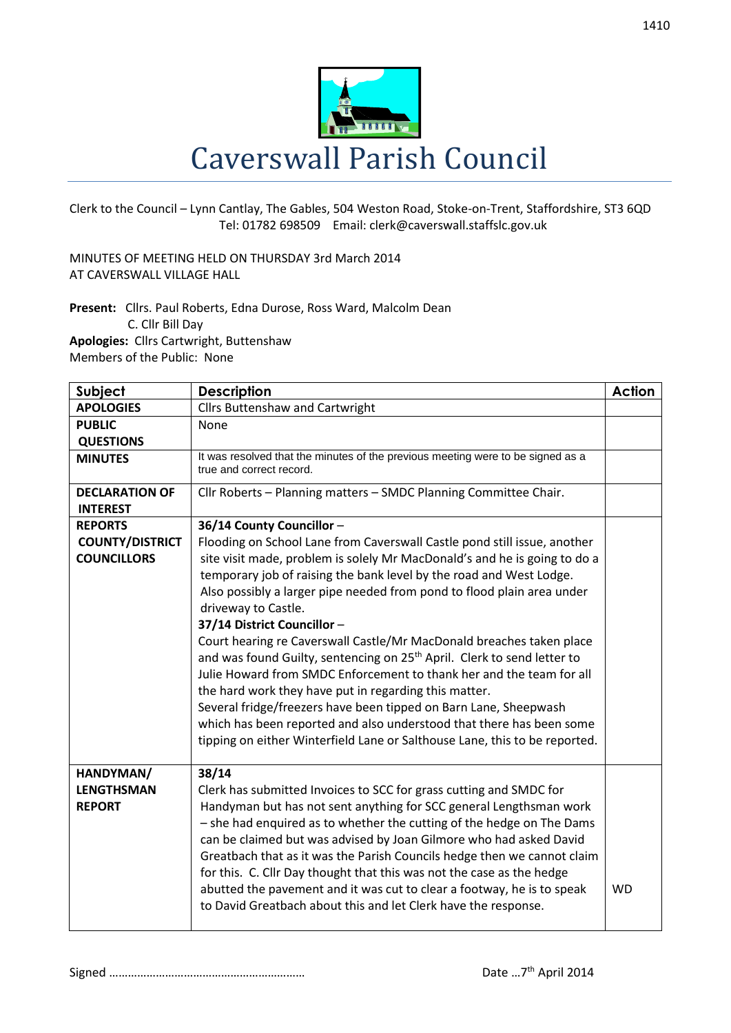

Clerk to the Council – Lynn Cantlay, The Gables, 504 Weston Road, Stoke-on-Trent, Staffordshire, ST3 6QD Tel: 01782 698509 Email: clerk@caverswall.staffslc.gov.uk

MINUTES OF MEETING HELD ON THURSDAY 3rd March 2014 AT CAVERSWALL VILLAGE HALL

**Present:** Cllrs. Paul Roberts, Edna Durose, Ross Ward, Malcolm Dean C. Cllr Bill Day **Apologies:** Cllrs Cartwright, Buttenshaw Members of the Public: None

| Subject                                         | <b>Description</b>                                                                                                                                                                                                                                                                                                                                                                                                                                                                                                                                                                                                                                                                                                                                                                                         | <b>Action</b> |
|-------------------------------------------------|------------------------------------------------------------------------------------------------------------------------------------------------------------------------------------------------------------------------------------------------------------------------------------------------------------------------------------------------------------------------------------------------------------------------------------------------------------------------------------------------------------------------------------------------------------------------------------------------------------------------------------------------------------------------------------------------------------------------------------------------------------------------------------------------------------|---------------|
| <b>APOLOGIES</b>                                | <b>Cllrs Buttenshaw and Cartwright</b>                                                                                                                                                                                                                                                                                                                                                                                                                                                                                                                                                                                                                                                                                                                                                                     |               |
| <b>PUBLIC</b>                                   | None                                                                                                                                                                                                                                                                                                                                                                                                                                                                                                                                                                                                                                                                                                                                                                                                       |               |
| <b>QUESTIONS</b>                                |                                                                                                                                                                                                                                                                                                                                                                                                                                                                                                                                                                                                                                                                                                                                                                                                            |               |
| <b>MINUTES</b>                                  | It was resolved that the minutes of the previous meeting were to be signed as a<br>true and correct record.                                                                                                                                                                                                                                                                                                                                                                                                                                                                                                                                                                                                                                                                                                |               |
| <b>DECLARATION OF</b><br><b>INTEREST</b>        | Cllr Roberts - Planning matters - SMDC Planning Committee Chair.                                                                                                                                                                                                                                                                                                                                                                                                                                                                                                                                                                                                                                                                                                                                           |               |
| <b>REPORTS</b>                                  | 36/14 County Councillor-                                                                                                                                                                                                                                                                                                                                                                                                                                                                                                                                                                                                                                                                                                                                                                                   |               |
| <b>COUNTY/DISTRICT</b>                          | Flooding on School Lane from Caverswall Castle pond still issue, another                                                                                                                                                                                                                                                                                                                                                                                                                                                                                                                                                                                                                                                                                                                                   |               |
| <b>COUNCILLORS</b>                              | site visit made, problem is solely Mr MacDonald's and he is going to do a<br>temporary job of raising the bank level by the road and West Lodge.<br>Also possibly a larger pipe needed from pond to flood plain area under<br>driveway to Castle.<br>37/14 District Councillor -<br>Court hearing re Caverswall Castle/Mr MacDonald breaches taken place<br>and was found Guilty, sentencing on 25 <sup>th</sup> April. Clerk to send letter to<br>Julie Howard from SMDC Enforcement to thank her and the team for all<br>the hard work they have put in regarding this matter.<br>Several fridge/freezers have been tipped on Barn Lane, Sheepwash<br>which has been reported and also understood that there has been some<br>tipping on either Winterfield Lane or Salthouse Lane, this to be reported. |               |
| HANDYMAN/<br><b>LENGTHSMAN</b><br><b>REPORT</b> | 38/14<br>Clerk has submitted Invoices to SCC for grass cutting and SMDC for<br>Handyman but has not sent anything for SCC general Lengthsman work<br>- she had enquired as to whether the cutting of the hedge on The Dams<br>can be claimed but was advised by Joan Gilmore who had asked David<br>Greatbach that as it was the Parish Councils hedge then we cannot claim<br>for this. C. Cllr Day thought that this was not the case as the hedge<br>abutted the pavement and it was cut to clear a footway, he is to speak<br>to David Greatbach about this and let Clerk have the response.                                                                                                                                                                                                           | <b>WD</b>     |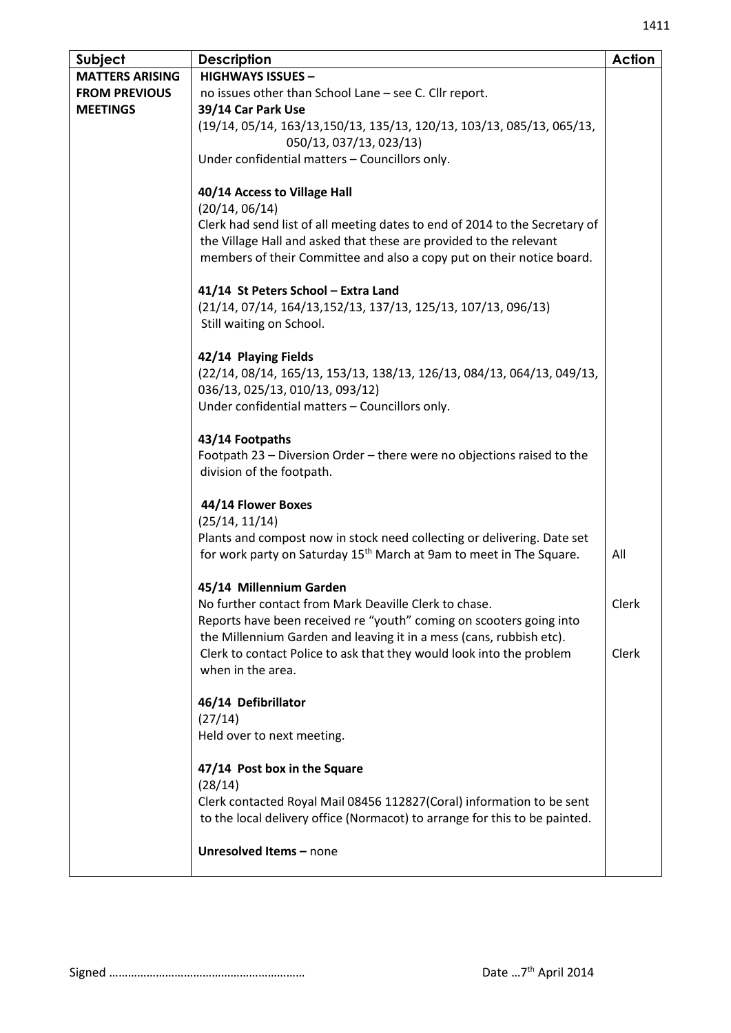| Subject                | <b>Description</b>                                                              | <b>Action</b> |
|------------------------|---------------------------------------------------------------------------------|---------------|
| <b>MATTERS ARISING</b> | <b>HIGHWAYS ISSUES -</b>                                                        |               |
| <b>FROM PREVIOUS</b>   | no issues other than School Lane - see C. Cllr report.                          |               |
| <b>MEETINGS</b>        | 39/14 Car Park Use                                                              |               |
|                        | (19/14, 05/14, 163/13, 150/13, 135/13, 120/13, 103/13, 085/13, 065/13,          |               |
|                        | 050/13, 037/13, 023/13)                                                         |               |
|                        | Under confidential matters - Councillors only.                                  |               |
|                        |                                                                                 |               |
|                        | 40/14 Access to Village Hall                                                    |               |
|                        | (20/14, 06/14)                                                                  |               |
|                        | Clerk had send list of all meeting dates to end of 2014 to the Secretary of     |               |
|                        | the Village Hall and asked that these are provided to the relevant              |               |
|                        | members of their Committee and also a copy put on their notice board.           |               |
|                        | 41/14 St Peters School - Extra Land                                             |               |
|                        | (21/14, 07/14, 164/13,152/13, 137/13, 125/13, 107/13, 096/13)                   |               |
|                        | Still waiting on School.                                                        |               |
|                        |                                                                                 |               |
|                        | 42/14 Playing Fields                                                            |               |
|                        | (22/14, 08/14, 165/13, 153/13, 138/13, 126/13, 084/13, 064/13, 049/13,          |               |
|                        | 036/13, 025/13, 010/13, 093/12)                                                 |               |
|                        | Under confidential matters - Councillors only.                                  |               |
|                        |                                                                                 |               |
|                        | 43/14 Footpaths                                                                 |               |
|                        | Footpath 23 - Diversion Order - there were no objections raised to the          |               |
|                        | division of the footpath.                                                       |               |
|                        |                                                                                 |               |
|                        | 44/14 Flower Boxes                                                              |               |
|                        | (25/14, 11/14)                                                                  |               |
|                        | Plants and compost now in stock need collecting or delivering. Date set         |               |
|                        | for work party on Saturday 15 <sup>th</sup> March at 9am to meet in The Square. | All           |
|                        | 45/14 Millennium Garden                                                         |               |
|                        | No further contact from Mark Deaville Clerk to chase.                           | Clerk         |
|                        | Reports have been received re "youth" coming on scooters going into             |               |
|                        | the Millennium Garden and leaving it in a mess (cans, rubbish etc).             |               |
|                        | Clerk to contact Police to ask that they would look into the problem            | Clerk         |
|                        | when in the area.                                                               |               |
|                        |                                                                                 |               |
|                        | 46/14 Defibrillator                                                             |               |
|                        | (27/14)                                                                         |               |
|                        | Held over to next meeting.                                                      |               |
|                        | 47/14 Post box in the Square                                                    |               |
|                        | (28/14)                                                                         |               |
|                        | Clerk contacted Royal Mail 08456 112827(Coral) information to be sent           |               |
|                        | to the local delivery office (Normacot) to arrange for this to be painted.      |               |
|                        |                                                                                 |               |
|                        | Unresolved Items - none                                                         |               |
|                        |                                                                                 |               |